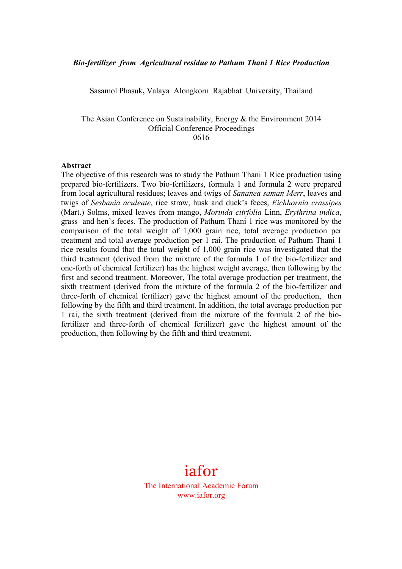#### *Bio-fertilizer from Agricultural residue to Pathum Thani 1 Rice Production*

Sasamol Phasuk**,** Valaya Alongkorn Rajabhat University, Thailand

The Asian Conference on Sustainability, Energy & the Environment 2014 Official Conference Proceedings 0616

#### **Abstract**

The objective of this research was to study the Pathum Thani 1 Rice production using prepared bio-fertilizers. Two bio-fertilizers, formula 1 and formula 2 were prepared from local agricultural residues; leaves and twigs of *Sananea saman Merr*, leaves and twigs of *Sesbania aculeate*, rice straw, husk and duck's feces, *Eichhornia crassipes* (Mart.) Solms, mixed leaves from mango, *Morinda citrfolia* Linn, *Erythrina indica*, grass and hen's feces. The production of Pathum Thani 1 rice was monitored by the comparison of the total weight of 1,000 grain rice, total average production per treatment and total average production per 1 rai. The production of Pathum Thani 1 rice results found that the total weight of 1,000 grain rice was investigated that the third treatment (derived from the mixture of the formula 1 of the bio-fertilizer and one-forth of chemical fertilizer) has the highest weight average, then following by the first and second treatment. Moreover, The total average production per treatment, the sixth treatment (derived from the mixture of the formula 2 of the bio-fertilizer and three-forth of chemical fertilizer) gave the highest amount of the production, then following by the fifth and third treatment. In addition, the total average production per 1 rai, the sixth treatment (derived from the mixture of the formula 2 of the biofertilizer and three-forth of chemical fertilizer) gave the highest amount of the production, then following by the fifth and third treatment.

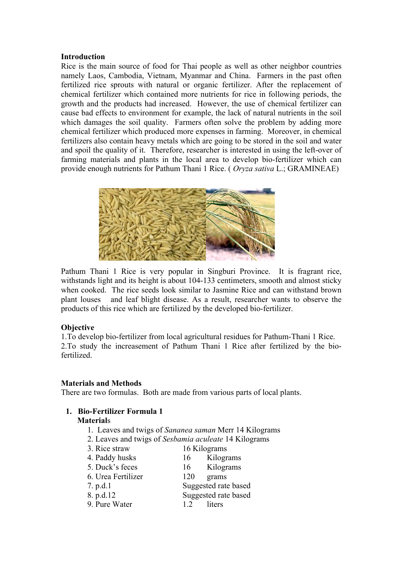### **Introduction**

Rice is the main source of food for Thai people as well as other neighbor countries namely Laos, Cambodia, Vietnam, Myanmar and China. Farmers in the past often fertilized rice sprouts with natural or organic fertilizer. After the replacement of chemical fertilizer which contained more nutrients for rice in following periods, the growth and the products had increased. However, the use of chemical fertilizer can cause bad effects to environment for example, the lack of natural nutrients in the soil which damages the soil quality. Farmers often solve the problem by adding more chemical fertilizer which produced more expenses in farming. Moreover, in chemical fertilizers also contain heavy metals which are going to be stored in the soil and water and spoil the quality of it. Therefore, researcher is interested in using the left-over of farming materials and plants in the local area to develop bio-fertilizer which can provide enough nutrients for Pathum Thani 1 Rice. ( *Oryza sativa* L.; GRAMINEAE)



Pathum Thani 1 Rice is very popular in Singburi Province. It is fragrant rice, withstands light and its height is about 104-133 centimeters, smooth and almost sticky when cooked. The rice seeds look similar to Jasmine Rice and can withstand brown plant louses and leaf blight disease. As a result, researcher wants to observe the products of this rice which are fertilized by the developed bio-fertilizer.

### **Objective**

1.To develop bio-fertilizer from local agricultural residues for Pathum-Thani 1 Rice. 2.To study the increasement of Pathum Thani 1 Rice after fertilized by the biofertilized.

### **Materials and Methods**

There are two formulas. Both are made from various parts of local plants.

# **1. Bio-Fertilizer Formula 1**

### **Material**s

- 1. Leaves and twigs of *Sananea saman* Merr 14 Kilograms
- 2. Leaves and twigs of *Sesbamia aculeate* 14 Kilograms
- 3. Rice straw 16 Kilograms

| Kilograms            |
|----------------------|
| Kilograms            |
|                      |
| Suggested rate based |
| Suggested rate based |
|                      |
|                      |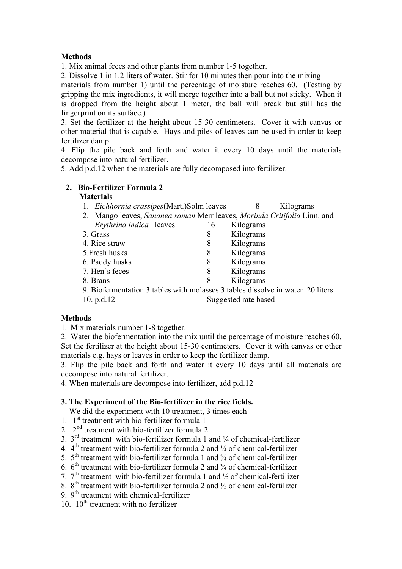## **Methods**

1. Mix animal feces and other plants from number 1-5 together.

2. Dissolve 1 in 1.2 liters of water. Stir for 10 minutes then pour into the mixing

materials from number 1) until the percentage of moisture reaches 60. (Testing by gripping the mix ingredients, it will merge together into a ball but not sticky. When it is dropped from the height about 1 meter, the ball will break but still has the fingerprint on its surface.)

3. Set the fertilizer at the height about 15-30 centimeters. Cover it with canvas or other material that is capable. Hays and piles of leaves can be used in order to keep fertilizer damp.

4. Flip the pile back and forth and water it every 10 days until the materials decompose into natural fertilizer.

5. Add p.d.12 when the materials are fully decomposed into fertilizer.

## **2. Bio-Fertilizer Formula 2**

### **Material**s

- 1. *Eichhornia crassipes*(Mart.)Solm leaves 8 Kilograms
- 2. Mango leaves, *Sananea saman* Merr leaves, *Morinda Critifolia* Linn. and *Erythrina indica* leaves 16 Kilograms 3. Grass 8 Kilograms 4. Rice straw 8 Kilograms 5.Fresh husks 8 Kilograms 6. Paddy husks 8 Kilograms 7. Hen's feces 8 Kilograms 8. Brans 8 Kilograms
- 9. Biofermentation 3 tables with molasses 3 tables dissolve in water 20 liters 10. p.d.12 Suggested rate based

## **Methods**

1. Mix materials number 1-8 together.

2. Water the biofermentation into the mix until the percentage of moisture reaches 60. Set the fertilizer at the height about 15-30 centimeters. Cover it with canvas or other materials e.g. hays or leaves in order to keep the fertilizer damp.

3. Flip the pile back and forth and water it every 10 days until all materials are decompose into natural fertilizer.

4. When materials are decompose into fertilizer, add p.d.12

### **3. The Experiment of the Bio-fertilizer in the rice fields.**

We did the experiment with 10 treatment, 3 times each

- 1.  $1^{st}$  treatment with bio-fertilizer formula 1
- 2. 2nd treatment with bio-fertilizer formula 2
- 3.  $3<sup>rd</sup>$  treatment with bio-fertilizer formula 1 and  $\frac{1}{4}$  of chemical-fertilizer
- 4.  $4<sup>th</sup>$  treatment with bio-fertilizer formula 2 and  $\frac{1}{4}$  of chemical-fertilizer
- 5.  $5<sup>th</sup>$  treatment with bio-fertilizer formula 1 and  $\frac{3}{4}$  of chemical-fertilizer
- 6.  $6<sup>th</sup>$  treatment with bio-fertilizer formula 2 and  $\frac{3}{4}$  of chemical-fertilizer
- 7.  $7<sup>th</sup>$  treatment with bio-fertilizer formula 1 and  $\frac{1}{2}$  of chemical-fertilizer
- 8.  $8<sup>th</sup>$  treatment with bio-fertilizer formula 2 and  $\frac{1}{2}$  of chemical-fertilizer
- 9.  $9<sup>th</sup>$  treatment with chemical-fertilizer
- 10.  $10^{th}$  treatment with no fertilizer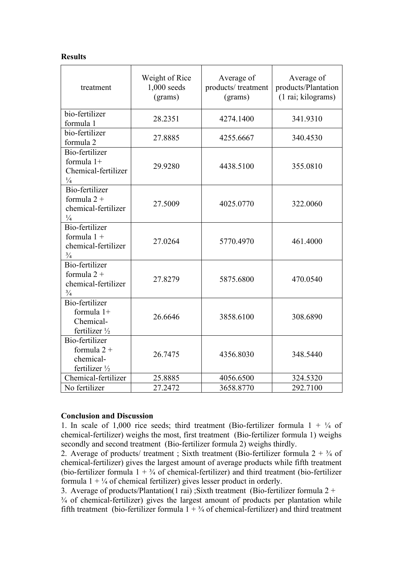### **Results**

| treatment                                                                | Weight of Rice<br>$1,000$ seeds<br>(grams) | Average of<br>products/treatment<br>(grams) | Average of<br>products/Plantation<br>(1 rai; kilograms) |
|--------------------------------------------------------------------------|--------------------------------------------|---------------------------------------------|---------------------------------------------------------|
| bio-fertilizer<br>formula 1                                              | 28.2351                                    | 4274.1400                                   | 341.9310                                                |
| bio-fertilizer<br>formula 2                                              | 27.8885                                    | 4255.6667                                   | 340.4530                                                |
| Bio-fertilizer<br>formula 1+<br>Chemical-fertilizer<br>$\frac{1}{4}$     | 29.9280                                    | 4438.5100                                   | 355.0810                                                |
| Bio-fertilizer<br>formula $2 +$<br>chemical-fertilizer<br>$\frac{1}{4}$  | 27.5009                                    | 4025.0770                                   | 322.0060                                                |
| Bio-fertilizer<br>formula $1 +$<br>chemical-fertilizer<br>$\frac{3}{4}$  | 27.0264                                    | 5770.4970                                   | 461.4000                                                |
| Bio-fertilizer<br>formula $2 +$<br>chemical-fertilizer<br>$\frac{3}{4}$  | 27.8279                                    | 5875.6800                                   | 470.0540                                                |
| Bio-fertilizer<br>formula 1+<br>Chemical-<br>fertilizer $\frac{1}{2}$    | 26.6646                                    | 3858.6100                                   | 308.6890                                                |
| Bio-fertilizer<br>formula $2 +$<br>chemical-<br>fertilizer $\frac{1}{2}$ | 26.7475                                    | 4356.8030                                   | 348.5440                                                |
| Chemical-fertilizer                                                      | 25.8885                                    | 4056.6500                                   | 324.5320                                                |
| No fertilizer                                                            | 27.2472                                    | 3658.8770                                   | 292.7100                                                |

### **Conclusion and Discussion**

1. In scale of 1,000 rice seeds; third treatment (Bio-fertilizer formula  $1 + \frac{1}{4}$  of chemical-fertilizer) weighs the most, first treatment (Bio-fertilizer formula 1) weighs secondly and second treatment (Bio-fertilizer formula 2) weighs thirdly.

2. Average of products/ treatment; Sixth treatment (Bio-fertilizer formula  $2 + \frac{3}{4}$  of chemical-fertilizer) gives the largest amount of average products while fifth treatment (bio-fertilizer formula  $1 + \frac{3}{4}$  of chemical-fertilizer) and third treatment (bio-fertilizer formula  $1 + \frac{1}{4}$  of chemical fertilizer) gives lesser product in orderly.

3. Average of products/Plantation(1 rai) ; Sixth treatment (Bio-fertilizer formula  $2 +$ ¾ of chemical-fertilizer) gives the largest amount of products per plantation while fifth treatment (bio-fertilizer formula  $1 + \frac{3}{4}$  of chemical-fertilizer) and third treatment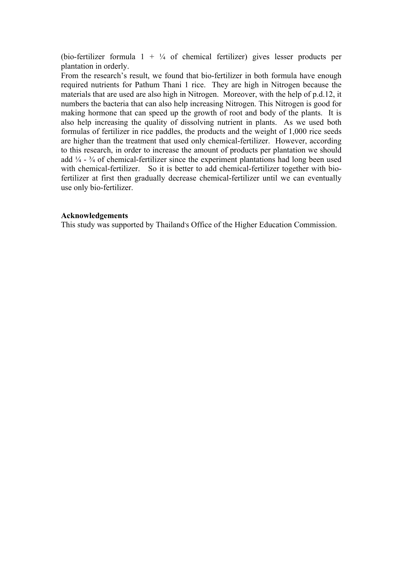(bio-fertilizer formula  $1 + \frac{1}{4}$  of chemical fertilizer) gives lesser products per plantation in orderly.

From the research's result, we found that bio-fertilizer in both formula have enough required nutrients for Pathum Thani 1 rice. They are high in Nitrogen because the materials that are used are also high in Nitrogen. Moreover, with the help of p.d.12, it numbers the bacteria that can also help increasing Nitrogen. This Nitrogen is good for making hormone that can speed up the growth of root and body of the plants. It is also help increasing the quality of dissolving nutrient in plants. As we used both formulas of fertilizer in rice paddles, the products and the weight of 1,000 rice seeds are higher than the treatment that used only chemical-fertilizer. However, according to this research, in order to increase the amount of products per plantation we should add  $\frac{1}{4}$  -  $\frac{3}{4}$  of chemical-fertilizer since the experiment plantations had long been used with chemical-fertilizer. So it is better to add chemical-fertilizer together with biofertilizer at first then gradually decrease chemical-fertilizer until we can eventually use only bio-fertilizer.

#### **Acknowledgements**

This study was supported by Thailand's Office of the Higher Education Commission.